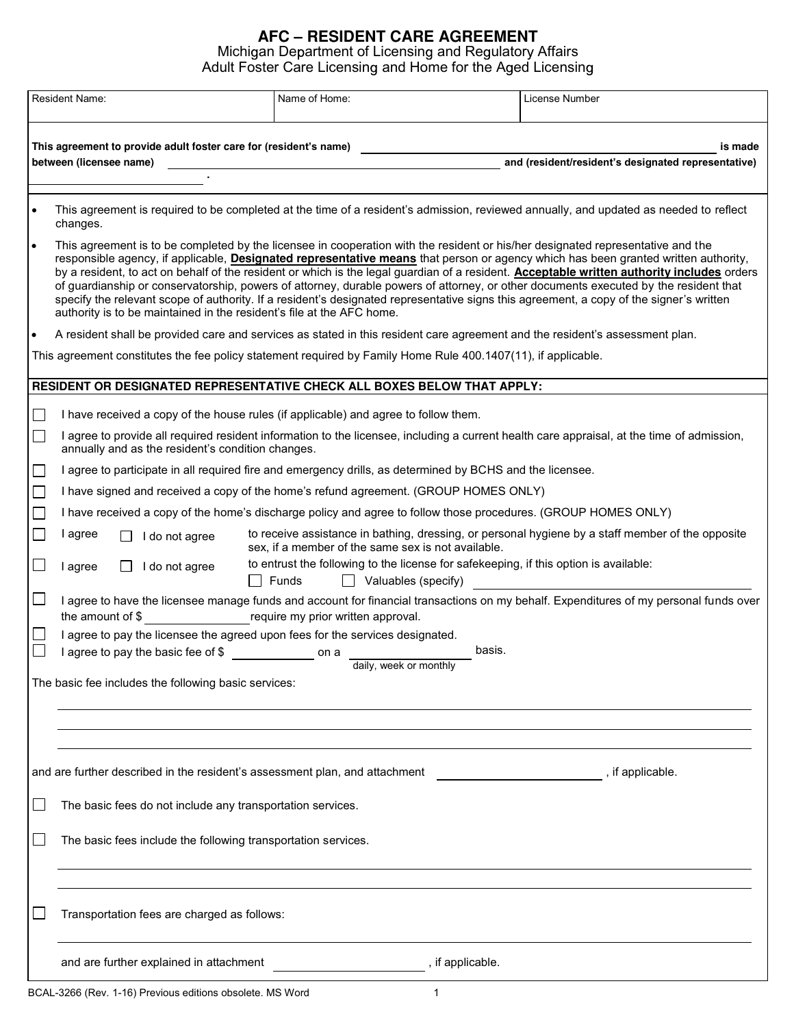## AFC – RESIDENT CARE AGREEMENT Michigan Department of Licensing and Regulatory Affairs Adult Foster Care Licensing and Home for the Aged Licensin

|           | <b>Resident Name:</b>                                                                                                                                                                                                                                                                                                                                                                                                                                                                                                                                                                                                                                                                                                                                                           | Name of Home:                                                                                                                       | License Number   |                                                                                                   |  |
|-----------|---------------------------------------------------------------------------------------------------------------------------------------------------------------------------------------------------------------------------------------------------------------------------------------------------------------------------------------------------------------------------------------------------------------------------------------------------------------------------------------------------------------------------------------------------------------------------------------------------------------------------------------------------------------------------------------------------------------------------------------------------------------------------------|-------------------------------------------------------------------------------------------------------------------------------------|------------------|---------------------------------------------------------------------------------------------------|--|
|           | This agreement to provide adult foster care for (resident's name)<br>between (licensee name)                                                                                                                                                                                                                                                                                                                                                                                                                                                                                                                                                                                                                                                                                    |                                                                                                                                     |                  | is made<br>and (resident/resident's designated representative)                                    |  |
|           | This agreement is required to be completed at the time of a resident's admission, reviewed annually, and updated as needed to reflect<br>changes.                                                                                                                                                                                                                                                                                                                                                                                                                                                                                                                                                                                                                               |                                                                                                                                     |                  |                                                                                                   |  |
| $\bullet$ | This agreement is to be completed by the licensee in cooperation with the resident or his/her designated representative and the<br>responsible agency, if applicable, Designated representative means that person or agency which has been granted written authority,<br>by a resident, to act on behalf of the resident or which is the legal guardian of a resident. Acceptable written authority includes orders<br>of guardianship or conservatorship, powers of attorney, durable powers of attorney, or other documents executed by the resident that<br>specify the relevant scope of authority. If a resident's designated representative signs this agreement, a copy of the signer's written<br>authority is to be maintained in the resident's file at the AFC home. |                                                                                                                                     |                  |                                                                                                   |  |
|           | A resident shall be provided care and services as stated in this resident care agreement and the resident's assessment plan.                                                                                                                                                                                                                                                                                                                                                                                                                                                                                                                                                                                                                                                    |                                                                                                                                     |                  |                                                                                                   |  |
|           | This agreement constitutes the fee policy statement required by Family Home Rule 400.1407(11), if applicable.                                                                                                                                                                                                                                                                                                                                                                                                                                                                                                                                                                                                                                                                   |                                                                                                                                     |                  |                                                                                                   |  |
|           | RESIDENT OR DESIGNATED REPRESENTATIVE CHECK ALL BOXES BELOW THAT APPLY:                                                                                                                                                                                                                                                                                                                                                                                                                                                                                                                                                                                                                                                                                                         |                                                                                                                                     |                  |                                                                                                   |  |
|           | I have received a copy of the house rules (if applicable) and agree to follow them.                                                                                                                                                                                                                                                                                                                                                                                                                                                                                                                                                                                                                                                                                             |                                                                                                                                     |                  |                                                                                                   |  |
| $\Box$    | I agree to provide all required resident information to the licensee, including a current health care appraisal, at the time of admission,<br>annually and as the resident's condition changes.                                                                                                                                                                                                                                                                                                                                                                                                                                                                                                                                                                                 |                                                                                                                                     |                  |                                                                                                   |  |
|           | I agree to participate in all required fire and emergency drills, as determined by BCHS and the licensee.                                                                                                                                                                                                                                                                                                                                                                                                                                                                                                                                                                                                                                                                       |                                                                                                                                     |                  |                                                                                                   |  |
|           | I have signed and received a copy of the home's refund agreement. (GROUP HOMES ONLY)                                                                                                                                                                                                                                                                                                                                                                                                                                                                                                                                                                                                                                                                                            |                                                                                                                                     |                  |                                                                                                   |  |
|           | I have received a copy of the home's discharge policy and agree to follow those procedures. (GROUP HOMES ONLY)                                                                                                                                                                                                                                                                                                                                                                                                                                                                                                                                                                                                                                                                  |                                                                                                                                     |                  |                                                                                                   |  |
|           | I agree<br>I do not agree                                                                                                                                                                                                                                                                                                                                                                                                                                                                                                                                                                                                                                                                                                                                                       | sex, if a member of the same sex is not available.                                                                                  |                  | to receive assistance in bathing, dressing, or personal hygiene by a staff member of the opposite |  |
|           | I do not agree<br>I agree                                                                                                                                                                                                                                                                                                                                                                                                                                                                                                                                                                                                                                                                                                                                                       | to entrust the following to the license for safekeeping, if this option is available:<br>$\Box$ Funds<br>$\Box$ Valuables (specify) |                  |                                                                                                   |  |
|           | I agree to have the licensee manage funds and account for financial transactions on my behalf. Expenditures of my personal funds over                                                                                                                                                                                                                                                                                                                                                                                                                                                                                                                                                                                                                                           |                                                                                                                                     |                  |                                                                                                   |  |
|           | the amount of \$                                                                                                                                                                                                                                                                                                                                                                                                                                                                                                                                                                                                                                                                                                                                                                | require my prior written approval.                                                                                                  |                  |                                                                                                   |  |
|           | I agree to pay the licensee the agreed upon fees for the services designated.<br>I agree to pay the basic fee of \$                                                                                                                                                                                                                                                                                                                                                                                                                                                                                                                                                                                                                                                             | <u>na mga bayang nagsasang panganggang nagsasang panganggang nagsasang panganggang nagsasang panganggang pangang</u>                | basis.           |                                                                                                   |  |
|           |                                                                                                                                                                                                                                                                                                                                                                                                                                                                                                                                                                                                                                                                                                                                                                                 | daily, week or monthly                                                                                                              |                  |                                                                                                   |  |
|           | The basic fee includes the following basic services:                                                                                                                                                                                                                                                                                                                                                                                                                                                                                                                                                                                                                                                                                                                            |                                                                                                                                     |                  |                                                                                                   |  |
|           |                                                                                                                                                                                                                                                                                                                                                                                                                                                                                                                                                                                                                                                                                                                                                                                 |                                                                                                                                     |                  |                                                                                                   |  |
|           |                                                                                                                                                                                                                                                                                                                                                                                                                                                                                                                                                                                                                                                                                                                                                                                 |                                                                                                                                     |                  |                                                                                                   |  |
|           | and are further described in the resident's assessment plan, and attachment                                                                                                                                                                                                                                                                                                                                                                                                                                                                                                                                                                                                                                                                                                     |                                                                                                                                     |                  | , if applicable.                                                                                  |  |
|           | The basic fees do not include any transportation services.                                                                                                                                                                                                                                                                                                                                                                                                                                                                                                                                                                                                                                                                                                                      |                                                                                                                                     |                  |                                                                                                   |  |
|           | The basic fees include the following transportation services.                                                                                                                                                                                                                                                                                                                                                                                                                                                                                                                                                                                                                                                                                                                   |                                                                                                                                     |                  |                                                                                                   |  |
|           | Transportation fees are charged as follows:                                                                                                                                                                                                                                                                                                                                                                                                                                                                                                                                                                                                                                                                                                                                     |                                                                                                                                     |                  |                                                                                                   |  |
|           | and are further explained in attachment                                                                                                                                                                                                                                                                                                                                                                                                                                                                                                                                                                                                                                                                                                                                         |                                                                                                                                     | , if applicable. |                                                                                                   |  |